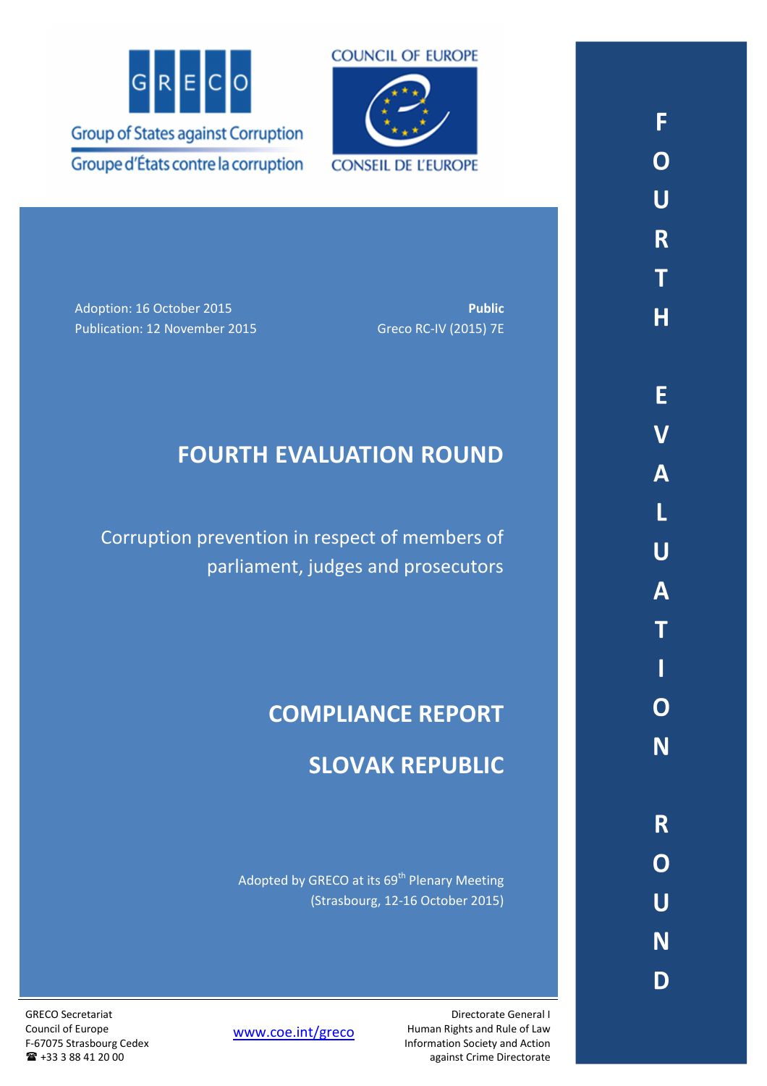



Adoption: 16 October 2015 **Public**  Publication: 12 November 2015 Greco RC-IV (2015) 7E

# **FOURTH EVALUATION ROUND**

Corruption prevention in respect of members of parliament, judges and prosecutors

# **COMPLIANCE REPORT**

# **SLOVAK REPUBLIC**

Adopted by GRECO at its 69<sup>th</sup> Plenary Meeting (Strasbourg, 12-16 October 2015)

GRECO Secretariat Council of Europe F-67075 Strasbourg Cedex +33 3 88 41 20 00

www.coe.int/greco

Directorate General I Human Rights and Rule of Law Information Society and Action against Crime Directorate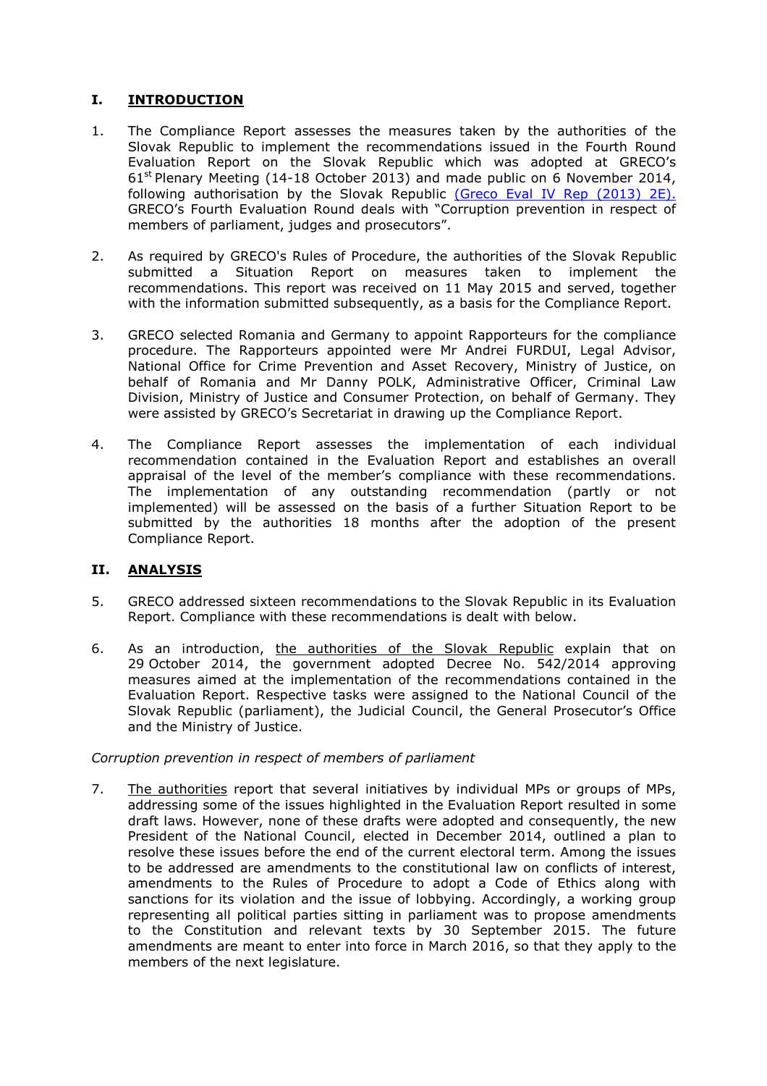# **I. INTRODUCTION**

- 1. The Compliance Report assesses the measures taken by the authorities of the Slovak Republic to implement the recommendations issued in the Fourth Round Evaluation Report on the Slovak Republic which was adopted at GRECO's  $61<sup>st</sup>$  Plenary Meeting (14-18 October 2013) and made public on 6 November 2014, following authorisation by the Slovak Republic (Greco Eval IV Rep (2013) 2E). GRECO's Fourth Evaluation Round deals with "Corruption prevention in respect of members of parliament, judges and prosecutors".
- 2. As required by GRECO's Rules of Procedure, the authorities of the Slovak Republic submitted a Situation Report on measures taken to implement the recommendations. This report was received on 11 May 2015 and served, together with the information submitted subsequently, as a basis for the Compliance Report.
- 3. GRECO selected Romania and Germany to appoint Rapporteurs for the compliance procedure. The Rapporteurs appointed were Mr Andrei FURDUI, Legal Advisor, National Office for Crime Prevention and Asset Recovery, Ministry of Justice, on behalf of Romania and Mr Danny POLK, Administrative Officer, Criminal Law Division, Ministry of Justice and Consumer Protection, on behalf of Germany. They were assisted by GRECO's Secretariat in drawing up the Compliance Report.
- 4. The Compliance Report assesses the implementation of each individual recommendation contained in the Evaluation Report and establishes an overall appraisal of the level of the member's compliance with these recommendations. The implementation of any outstanding recommendation (partly or not implemented) will be assessed on the basis of a further Situation Report to be submitted by the authorities 18 months after the adoption of the present Compliance Report.

## **II. ANALYSIS**

- 5. GRECO addressed sixteen recommendations to the Slovak Republic in its Evaluation Report. Compliance with these recommendations is dealt with below.
- 6. As an introduction, the authorities of the Slovak Republic explain that on 29 October 2014, the government adopted Decree No. 542/2014 approving measures aimed at the implementation of the recommendations contained in the Evaluation Report. Respective tasks were assigned to the National Council of the Slovak Republic (parliament), the Judicial Council, the General Prosecutor's Office and the Ministry of Justice.

#### *Corruption prevention in respect of members of parliament*

7. The authorities report that several initiatives by individual MPs or groups of MPs, addressing some of the issues highlighted in the Evaluation Report resulted in some draft laws. However, none of these drafts were adopted and consequently, the new President of the National Council, elected in December 2014, outlined a plan to resolve these issues before the end of the current electoral term. Among the issues to be addressed are amendments to the constitutional law on conflicts of interest, amendments to the Rules of Procedure to adopt a Code of Ethics along with sanctions for its violation and the issue of lobbying. Accordingly, a working group representing all political parties sitting in parliament was to propose amendments to the Constitution and relevant texts by 30 September 2015. The future amendments are meant to enter into force in March 2016, so that they apply to the members of the next legislature.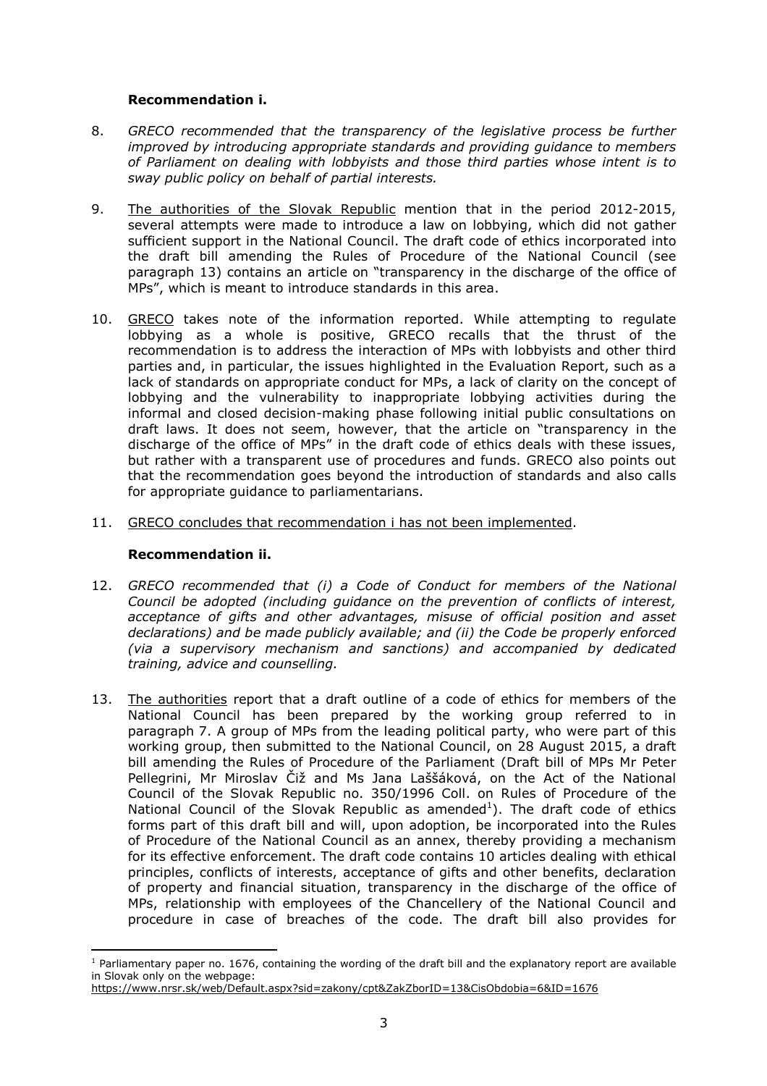#### **Recommendation i.**

- 8. *GRECO recommended that the transparency of the legislative process be further improved by introducing appropriate standards and providing guidance to members of Parliament on dealing with lobbyists and those third parties whose intent is to sway public policy on behalf of partial interests.*
- 9. The authorities of the Slovak Republic mention that in the period 2012-2015, several attempts were made to introduce a law on lobbying, which did not gather sufficient support in the National Council. The draft code of ethics incorporated into the draft bill amending the Rules of Procedure of the National Council (see paragraph 13) contains an article on "transparency in the discharge of the office of MPs", which is meant to introduce standards in this area.
- 10. GRECO takes note of the information reported. While attempting to regulate lobbying as a whole is positive, GRECO recalls that the thrust of the recommendation is to address the interaction of MPs with lobbyists and other third parties and, in particular, the issues highlighted in the Evaluation Report, such as a lack of standards on appropriate conduct for MPs, a lack of clarity on the concept of lobbying and the vulnerability to inappropriate lobbying activities during the informal and closed decision-making phase following initial public consultations on draft laws. It does not seem, however, that the article on "transparency in the discharge of the office of MPs" in the draft code of ethics deals with these issues, but rather with a transparent use of procedures and funds. GRECO also points out that the recommendation goes beyond the introduction of standards and also calls for appropriate guidance to parliamentarians.
- 11. GRECO concludes that recommendation i has not been implemented.

## **Recommendation ii.**

 $\overline{a}$ 

- 12. *GRECO recommended that (i) a Code of Conduct for members of the National Council be adopted (including guidance on the prevention of conflicts of interest, acceptance of gifts and other advantages, misuse of official position and asset declarations) and be made publicly available; and (ii) the Code be properly enforced (via a supervisory mechanism and sanctions) and accompanied by dedicated training, advice and counselling.*
- 13. The authorities report that a draft outline of a code of ethics for members of the National Council has been prepared by the working group referred to in paragraph 7. A group of MPs from the leading political party, who were part of this working group, then submitted to the National Council, on 28 August 2015, a draft bill amending the Rules of Procedure of the Parliament (Draft bill of MPs Mr Peter Pellegrini, Mr Miroslav Čiž and Ms Jana Laššáková, on the Act of the National Council of the Slovak Republic no. 350/1996 Coll. on Rules of Procedure of the National Council of the Slovak Republic as amended<sup>1</sup>). The draft code of ethics forms part of this draft bill and will, upon adoption, be incorporated into the Rules of Procedure of the National Council as an annex, thereby providing a mechanism for its effective enforcement. The draft code contains 10 articles dealing with ethical principles, conflicts of interests, acceptance of gifts and other benefits, declaration of property and financial situation, transparency in the discharge of the office of MPs, relationship with employees of the Chancellery of the National Council and procedure in case of breaches of the code. The draft bill also provides for

<sup>&</sup>lt;sup>1</sup> Parliamentary paper no. 1676, containing the wording of the draft bill and the explanatory report are available in Slovak only on the webpage:

https://www.nrsr.sk/web/Default.aspx?sid=zakony/cpt&ZakZborID=13&CisObdobia=6&ID=1676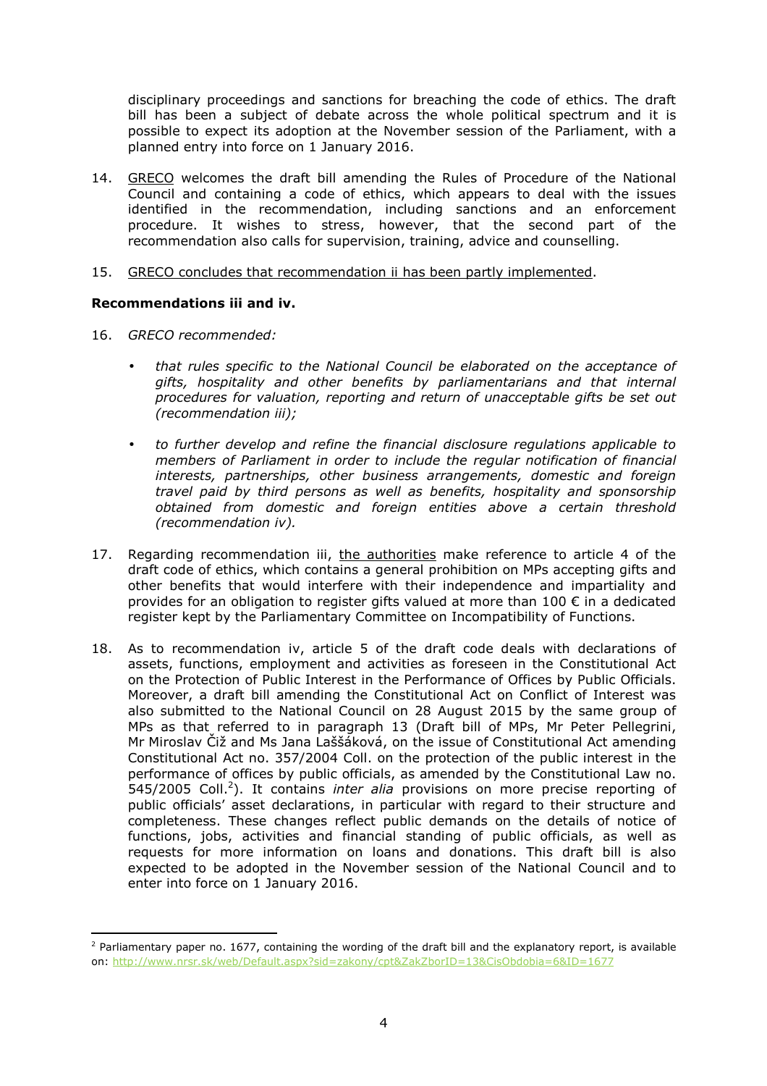disciplinary proceedings and sanctions for breaching the code of ethics. The draft bill has been a subject of debate across the whole political spectrum and it is possible to expect its adoption at the November session of the Parliament, with a planned entry into force on 1 January 2016.

- 14. GRECO welcomes the draft bill amending the Rules of Procedure of the National Council and containing a code of ethics, which appears to deal with the issues identified in the recommendation, including sanctions and an enforcement procedure. It wishes to stress, however, that the second part of the recommendation also calls for supervision, training, advice and counselling.
- 15. GRECO concludes that recommendation ii has been partly implemented.

## **Recommendations iii and iv.**

16. *GRECO recommended:* 

l

- *that rules specific to the National Council be elaborated on the acceptance of gifts, hospitality and other benefits by parliamentarians and that internal procedures for valuation, reporting and return of unacceptable gifts be set out (recommendation iii);*
- *to further develop and refine the financial disclosure regulations applicable to members of Parliament in order to include the regular notification of financial interests, partnerships, other business arrangements, domestic and foreign travel paid by third persons as well as benefits, hospitality and sponsorship obtained from domestic and foreign entities above a certain threshold (recommendation iv).*
- 17. Regarding recommendation iii, the authorities make reference to article 4 of the draft code of ethics, which contains a general prohibition on MPs accepting gifts and other benefits that would interfere with their independence and impartiality and provides for an obligation to register gifts valued at more than 100  $\epsilon$  in a dedicated register kept by the Parliamentary Committee on Incompatibility of Functions.
- 18. As to recommendation iv, article 5 of the draft code deals with declarations of assets, functions, employment and activities as foreseen in the Constitutional Act on the Protection of Public Interest in the Performance of Offices by Public Officials. Moreover, a draft bill amending the Constitutional Act on Conflict of Interest was also submitted to the National Council on 28 August 2015 by the same group of MPs as that referred to in paragraph 13 (Draft bill of MPs, Mr Peter Pellegrini, Mr Miroslav Čiž and Ms Jana Laššáková, on the issue of Constitutional Act amending Constitutional Act no. 357/2004 Coll. on the protection of the public interest in the performance of offices by public officials, as amended by the Constitutional Law no. 545/2005 Coll.<sup>2</sup>). It contains *inter alia* provisions on more precise reporting of public officials' asset declarations, in particular with regard to their structure and completeness. These changes reflect public demands on the details of notice of functions, jobs, activities and financial standing of public officials, as well as requests for more information on loans and donations. This draft bill is also expected to be adopted in the November session of the National Council and to enter into force on 1 January 2016.

<sup>&</sup>lt;sup>2</sup> Parliamentary paper no. 1677, containing the wording of the draft bill and the explanatory report, is available on: http://www.nrsr.sk/web/Default.aspx?sid=zakony/cpt&ZakZborID=13&CisObdobia=6&ID=1677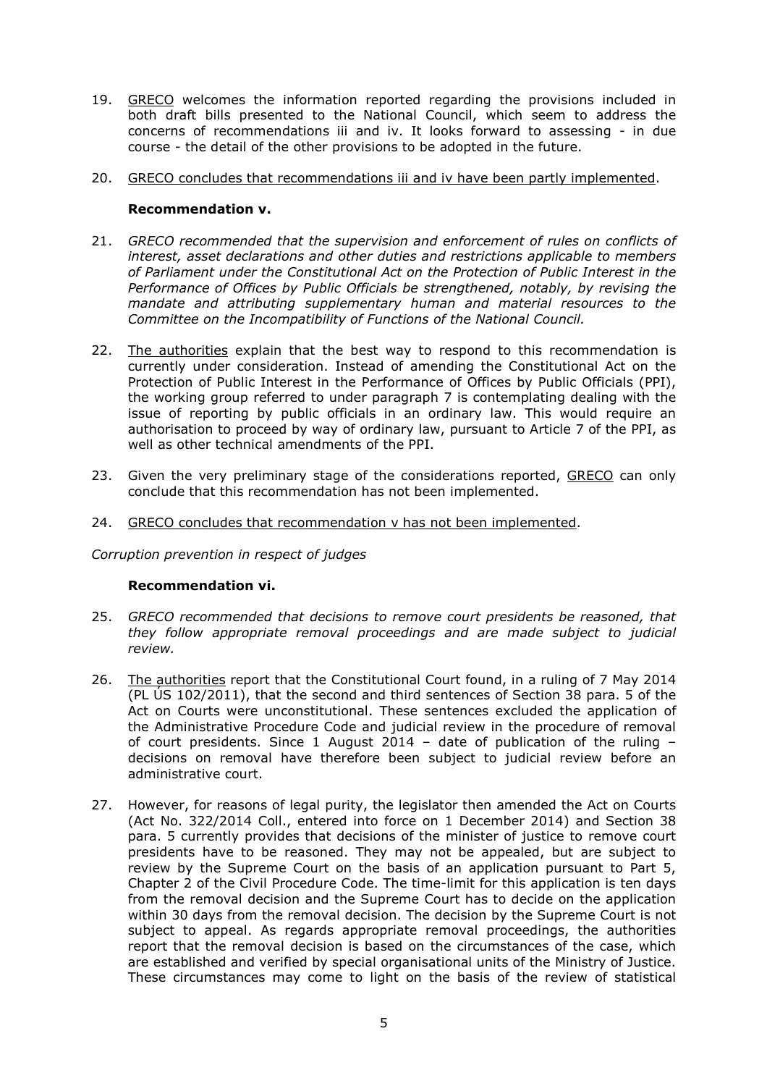- 19. GRECO welcomes the information reported regarding the provisions included in both draft bills presented to the National Council, which seem to address the concerns of recommendations iii and iv. It looks forward to assessing - in due course - the detail of the other provisions to be adopted in the future.
- 20. GRECO concludes that recommendations iii and iv have been partly implemented.

#### **Recommendation v.**

- 21. *GRECO recommended that the supervision and enforcement of rules on conflicts of interest, asset declarations and other duties and restrictions applicable to members of Parliament under the Constitutional Act on the Protection of Public Interest in the Performance of Offices by Public Officials be strengthened, notably, by revising the mandate and attributing supplementary human and material resources to the Committee on the Incompatibility of Functions of the National Council.*
- 22. The authorities explain that the best way to respond to this recommendation is currently under consideration. Instead of amending the Constitutional Act on the Protection of Public Interest in the Performance of Offices by Public Officials (PPI), the working group referred to under paragraph 7 is contemplating dealing with the issue of reporting by public officials in an ordinary law. This would require an authorisation to proceed by way of ordinary law, pursuant to Article 7 of the PPI, as well as other technical amendments of the PPI.
- 23. Given the very preliminary stage of the considerations reported, GRECO can only conclude that this recommendation has not been implemented.
- 24. GRECO concludes that recommendation v has not been implemented.

*Corruption prevention in respect of judges*

#### **Recommendation vi.**

- 25. *GRECO recommended that decisions to remove court presidents be reasoned, that they follow appropriate removal proceedings and are made subject to judicial review.*
- 26. The authorities report that the Constitutional Court found, in a ruling of 7 May 2014 (PL ÚS 102/2011), that the second and third sentences of Section 38 para. 5 of the Act on Courts were unconstitutional. These sentences excluded the application of the Administrative Procedure Code and judicial review in the procedure of removal of court presidents. Since 1 August 2014 – date of publication of the ruling – decisions on removal have therefore been subject to judicial review before an administrative court.
- 27. However, for reasons of legal purity, the legislator then amended the Act on Courts (Act No. 322/2014 Coll., entered into force on 1 December 2014) and Section 38 para. 5 currently provides that decisions of the minister of justice to remove court presidents have to be reasoned. They may not be appealed, but are subject to review by the Supreme Court on the basis of an application pursuant to Part 5, Chapter 2 of the Civil Procedure Code. The time-limit for this application is ten days from the removal decision and the Supreme Court has to decide on the application within 30 days from the removal decision. The decision by the Supreme Court is not subject to appeal. As regards appropriate removal proceedings, the authorities report that the removal decision is based on the circumstances of the case, which are established and verified by special organisational units of the Ministry of Justice. These circumstances may come to light on the basis of the review of statistical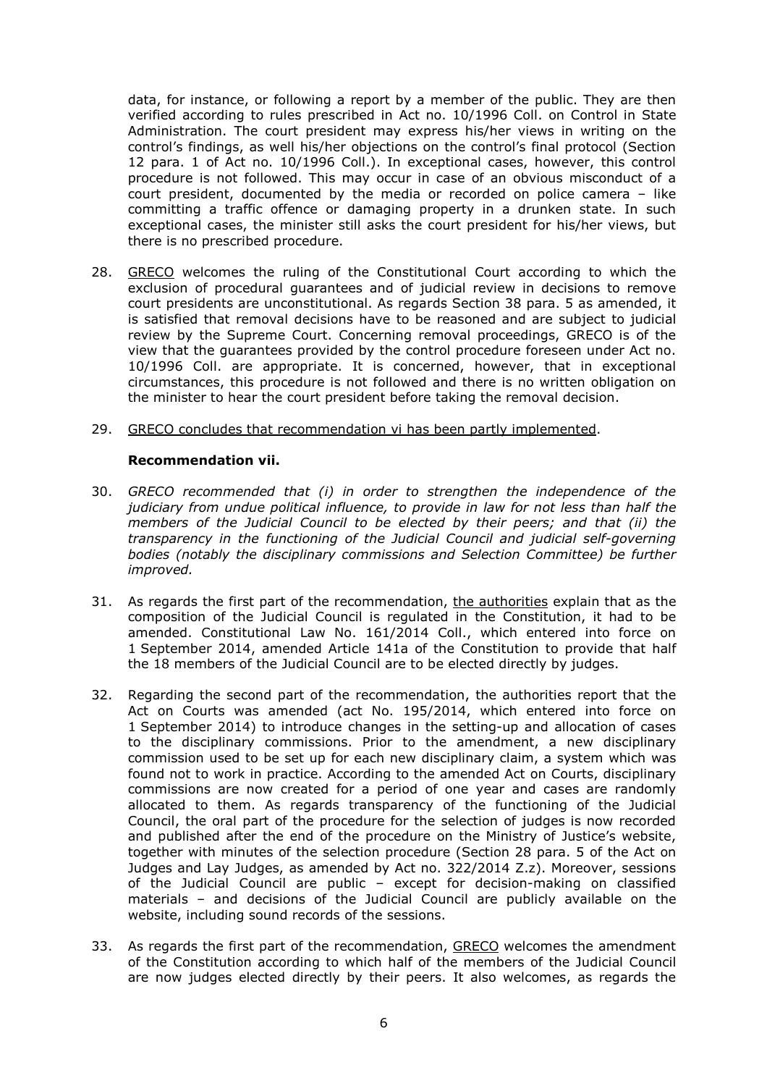data, for instance, or following a report by a member of the public. They are then verified according to rules prescribed in Act no. 10/1996 Coll. on Control in State Administration. The court president may express his/her views in writing on the control's findings, as well his/her objections on the control's final protocol (Section 12 para. 1 of Act no. 10/1996 Coll.). In exceptional cases, however, this control procedure is not followed. This may occur in case of an obvious misconduct of a court president, documented by the media or recorded on police camera – like committing a traffic offence or damaging property in a drunken state. In such exceptional cases, the minister still asks the court president for his/her views, but there is no prescribed procedure.

- 28. GRECO welcomes the ruling of the Constitutional Court according to which the exclusion of procedural guarantees and of judicial review in decisions to remove court presidents are unconstitutional. As regards Section 38 para. 5 as amended, it is satisfied that removal decisions have to be reasoned and are subject to judicial review by the Supreme Court. Concerning removal proceedings, GRECO is of the view that the guarantees provided by the control procedure foreseen under Act no. 10/1996 Coll. are appropriate. It is concerned, however, that in exceptional circumstances, this procedure is not followed and there is no written obligation on the minister to hear the court president before taking the removal decision.
- 29. GRECO concludes that recommendation vi has been partly implemented.

#### **Recommendation vii.**

- 30. *GRECO recommended that (i) in order to strengthen the independence of the judiciary from undue political influence, to provide in law for not less than half the members of the Judicial Council to be elected by their peers; and that (ii) the transparency in the functioning of the Judicial Council and judicial self-governing bodies (notably the disciplinary commissions and Selection Committee) be further improved.*
- 31. As regards the first part of the recommendation, the authorities explain that as the composition of the Judicial Council is regulated in the Constitution, it had to be amended. Constitutional Law No. 161/2014 Coll., which entered into force on 1 September 2014, amended Article 141a of the Constitution to provide that half the 18 members of the Judicial Council are to be elected directly by judges.
- 32. Regarding the second part of the recommendation, the authorities report that the Act on Courts was amended (act No. 195/2014, which entered into force on 1 September 2014) to introduce changes in the setting-up and allocation of cases to the disciplinary commissions. Prior to the amendment, a new disciplinary commission used to be set up for each new disciplinary claim, a system which was found not to work in practice. According to the amended Act on Courts, disciplinary commissions are now created for a period of one year and cases are randomly allocated to them. As regards transparency of the functioning of the Judicial Council, the oral part of the procedure for the selection of judges is now recorded and published after the end of the procedure on the Ministry of Justice's website, together with minutes of the selection procedure (Section 28 para. 5 of the Act on Judges and Lay Judges, as amended by Act no. 322/2014 Z.z). Moreover, sessions of the Judicial Council are public – except for decision-making on classified materials – and decisions of the Judicial Council are publicly available on the website, including sound records of the sessions.
- 33. As regards the first part of the recommendation, GRECO welcomes the amendment of the Constitution according to which half of the members of the Judicial Council are now judges elected directly by their peers. It also welcomes, as regards the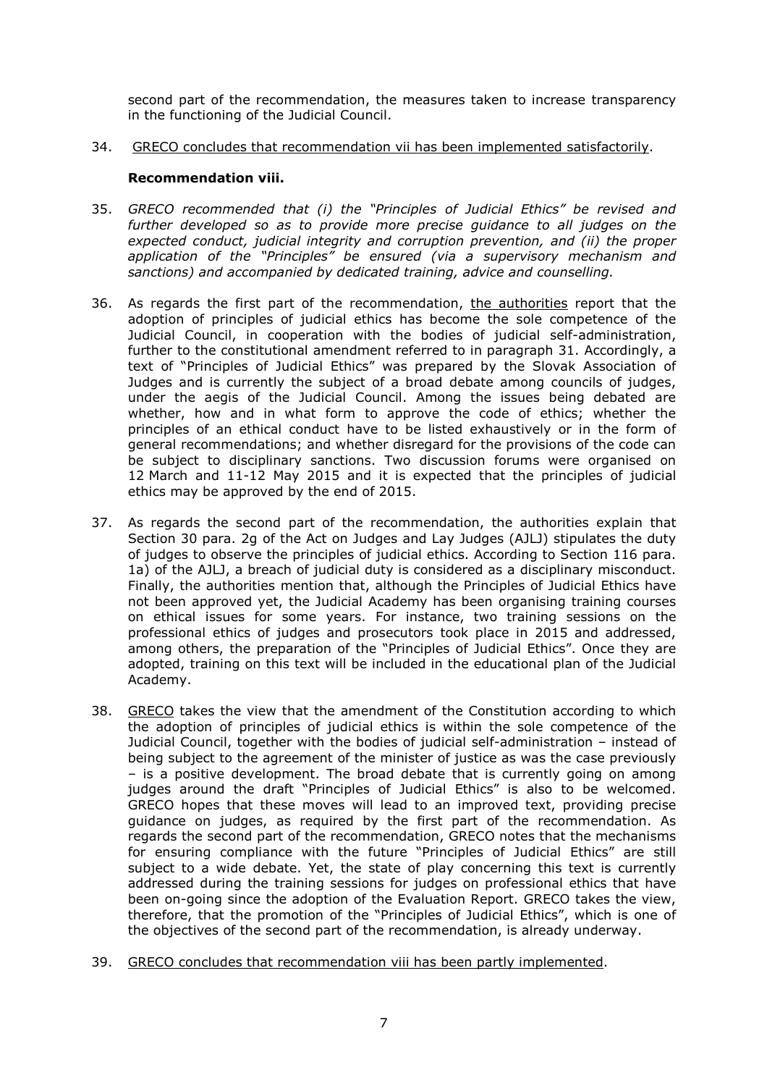second part of the recommendation, the measures taken to increase transparency in the functioning of the Judicial Council.

34. GRECO concludes that recommendation vii has been implemented satisfactorily.

#### **Recommendation viii.**

- 35. *GRECO recommended that (i) the "Principles of Judicial Ethics" be revised and*  further developed so as to provide more precise guidance to all judges on the *expected conduct, judicial integrity and corruption prevention, and (ii) the proper application of the "Principles" be ensured (via a supervisory mechanism and sanctions) and accompanied by dedicated training, advice and counselling.*
- 36. As regards the first part of the recommendation, the authorities report that the adoption of principles of judicial ethics has become the sole competence of the Judicial Council, in cooperation with the bodies of judicial self-administration, further to the constitutional amendment referred to in paragraph 31. Accordingly, a text of "Principles of Judicial Ethics" was prepared by the Slovak Association of Judges and is currently the subject of a broad debate among councils of judges, under the aegis of the Judicial Council. Among the issues being debated are whether, how and in what form to approve the code of ethics; whether the principles of an ethical conduct have to be listed exhaustively or in the form of general recommendations; and whether disregard for the provisions of the code can be subject to disciplinary sanctions. Two discussion forums were organised on 12 March and 11-12 May 2015 and it is expected that the principles of judicial ethics may be approved by the end of 2015.
- 37. As regards the second part of the recommendation, the authorities explain that Section 30 para. 2g of the Act on Judges and Lay Judges (AJLJ) stipulates the duty of judges to observe the principles of judicial ethics. According to Section 116 para. 1a) of the AJLJ, a breach of judicial duty is considered as a disciplinary misconduct. Finally, the authorities mention that, although the Principles of Judicial Ethics have not been approved yet, the Judicial Academy has been organising training courses on ethical issues for some years. For instance, two training sessions on the professional ethics of judges and prosecutors took place in 2015 and addressed, among others, the preparation of the "Principles of Judicial Ethics". Once they are adopted, training on this text will be included in the educational plan of the Judicial Academy.
- 38. GRECO takes the view that the amendment of the Constitution according to which the adoption of principles of judicial ethics is within the sole competence of the Judicial Council, together with the bodies of judicial self-administration – instead of being subject to the agreement of the minister of justice as was the case previously – is a positive development. The broad debate that is currently going on among judges around the draft "Principles of Judicial Ethics" is also to be welcomed. GRECO hopes that these moves will lead to an improved text, providing precise guidance on judges, as required by the first part of the recommendation. As regards the second part of the recommendation, GRECO notes that the mechanisms for ensuring compliance with the future "Principles of Judicial Ethics" are still subject to a wide debate. Yet, the state of play concerning this text is currently addressed during the training sessions for judges on professional ethics that have been on-going since the adoption of the Evaluation Report. GRECO takes the view, therefore, that the promotion of the "Principles of Judicial Ethics", which is one of the objectives of the second part of the recommendation, is already underway.
- 39. GRECO concludes that recommendation viii has been partly implemented.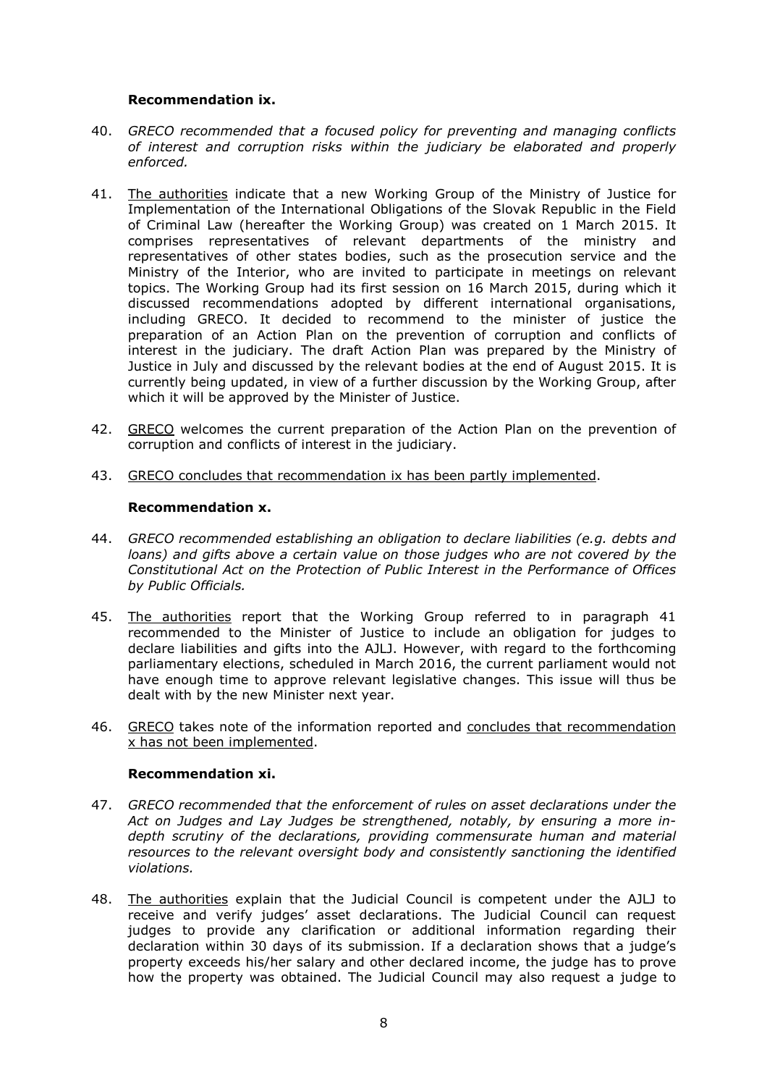#### **Recommendation ix.**

- 40. *GRECO recommended that a focused policy for preventing and managing conflicts of interest and corruption risks within the judiciary be elaborated and properly enforced.*
- 41. The authorities indicate that a new Working Group of the Ministry of Justice for Implementation of the International Obligations of the Slovak Republic in the Field of Criminal Law (hereafter the Working Group) was created on 1 March 2015. It comprises representatives of relevant departments of the ministry and representatives of other states bodies, such as the prosecution service and the Ministry of the Interior, who are invited to participate in meetings on relevant topics. The Working Group had its first session on 16 March 2015, during which it discussed recommendations adopted by different international organisations, including GRECO. It decided to recommend to the minister of justice the preparation of an Action Plan on the prevention of corruption and conflicts of interest in the judiciary. The draft Action Plan was prepared by the Ministry of Justice in July and discussed by the relevant bodies at the end of August 2015. It is currently being updated, in view of a further discussion by the Working Group, after which it will be approved by the Minister of Justice.
- 42. GRECO welcomes the current preparation of the Action Plan on the prevention of corruption and conflicts of interest in the judiciary.
- 43. GRECO concludes that recommendation ix has been partly implemented.

## **Recommendation x.**

- 44. *GRECO recommended establishing an obligation to declare liabilities (e.g. debts and loans*) and gifts above a certain value on those judges who are not covered by the *Constitutional Act on the Protection of Public Interest in the Performance of Offices by Public Officials.*
- 45. The authorities report that the Working Group referred to in paragraph 41 recommended to the Minister of Justice to include an obligation for judges to declare liabilities and gifts into the AJLJ. However, with regard to the forthcoming parliamentary elections, scheduled in March 2016, the current parliament would not have enough time to approve relevant legislative changes. This issue will thus be dealt with by the new Minister next year.
- 46. GRECO takes note of the information reported and concludes that recommendation x has not been implemented.

#### **Recommendation xi.**

- 47. *GRECO recommended that the enforcement of rules on asset declarations under the Act on Judges and Lay Judges be strengthened, notably, by ensuring a more indepth scrutiny of the declarations, providing commensurate human and material resources to the relevant oversight body and consistently sanctioning the identified violations.*
- 48. The authorities explain that the Judicial Council is competent under the AJLJ to receive and verify judges' asset declarations. The Judicial Council can request judges to provide any clarification or additional information regarding their declaration within 30 days of its submission. If a declaration shows that a judge's property exceeds his/her salary and other declared income, the judge has to prove how the property was obtained. The Judicial Council may also request a judge to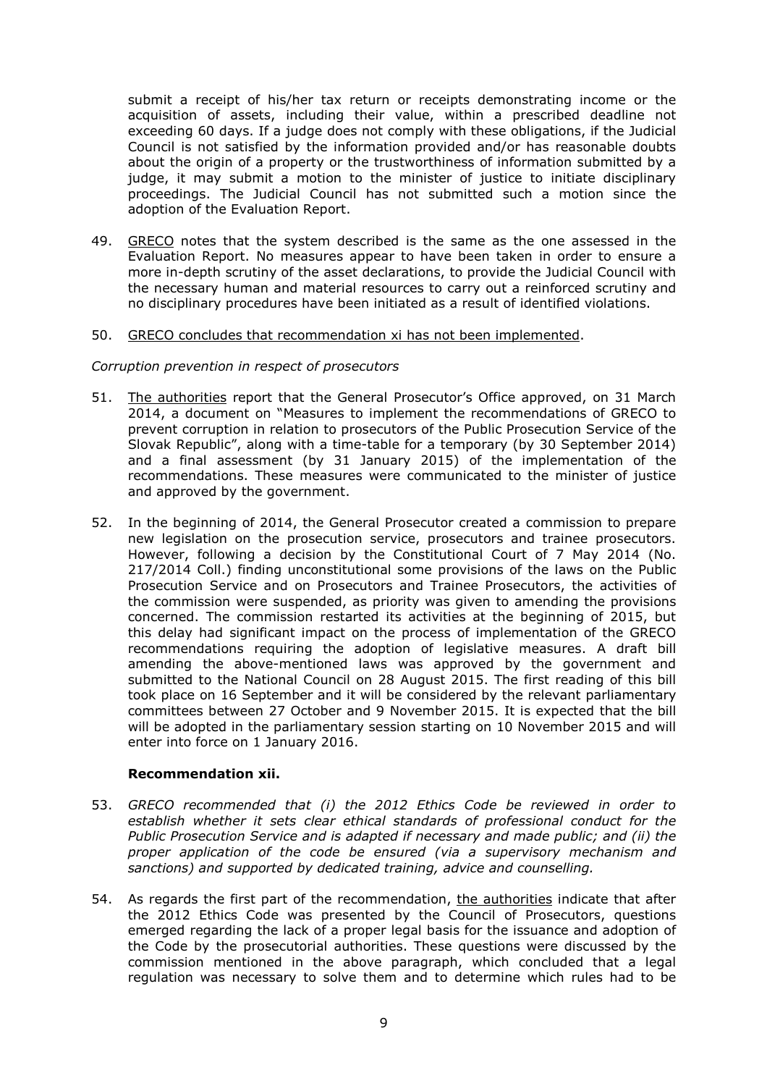submit a receipt of his/her tax return or receipts demonstrating income or the acquisition of assets, including their value, within a prescribed deadline not exceeding 60 days. If a judge does not comply with these obligations, if the Judicial Council is not satisfied by the information provided and/or has reasonable doubts about the origin of a property or the trustworthiness of information submitted by a judge, it may submit a motion to the minister of justice to initiate disciplinary proceedings. The Judicial Council has not submitted such a motion since the adoption of the Evaluation Report.

49. GRECO notes that the system described is the same as the one assessed in the Evaluation Report. No measures appear to have been taken in order to ensure a more in-depth scrutiny of the asset declarations, to provide the Judicial Council with the necessary human and material resources to carry out a reinforced scrutiny and no disciplinary procedures have been initiated as a result of identified violations.

#### 50. GRECO concludes that recommendation xi has not been implemented.

#### *Corruption prevention in respect of prosecutors*

- 51. The authorities report that the General Prosecutor's Office approved, on 31 March 2014, a document on "Measures to implement the recommendations of GRECO to prevent corruption in relation to prosecutors of the Public Prosecution Service of the Slovak Republic", along with a time-table for a temporary (by 30 September 2014) and a final assessment (by 31 January 2015) of the implementation of the recommendations. These measures were communicated to the minister of justice and approved by the government.
- 52. In the beginning of 2014, the General Prosecutor created a commission to prepare new legislation on the prosecution service, prosecutors and trainee prosecutors. However, following a decision by the Constitutional Court of 7 May 2014 (No. 217/2014 Coll.) finding unconstitutional some provisions of the laws on the Public Prosecution Service and on Prosecutors and Trainee Prosecutors, the activities of the commission were suspended, as priority was given to amending the provisions concerned. The commission restarted its activities at the beginning of 2015, but this delay had significant impact on the process of implementation of the GRECO recommendations requiring the adoption of legislative measures. A draft bill amending the above-mentioned laws was approved by the government and submitted to the National Council on 28 August 2015. The first reading of this bill took place on 16 September and it will be considered by the relevant parliamentary committees between 27 October and 9 November 2015. It is expected that the bill will be adopted in the parliamentary session starting on 10 November 2015 and will enter into force on 1 January 2016.

#### **Recommendation xii.**

- 53. *GRECO recommended that (i) the 2012 Ethics Code be reviewed in order to establish whether it sets clear ethical standards of professional conduct for the Public Prosecution Service and is adapted if necessary and made public; and (ii) the proper application of the code be ensured (via a supervisory mechanism and sanctions) and supported by dedicated training, advice and counselling.*
- 54. As regards the first part of the recommendation, the authorities indicate that after the 2012 Ethics Code was presented by the Council of Prosecutors, questions emerged regarding the lack of a proper legal basis for the issuance and adoption of the Code by the prosecutorial authorities. These questions were discussed by the commission mentioned in the above paragraph, which concluded that a legal regulation was necessary to solve them and to determine which rules had to be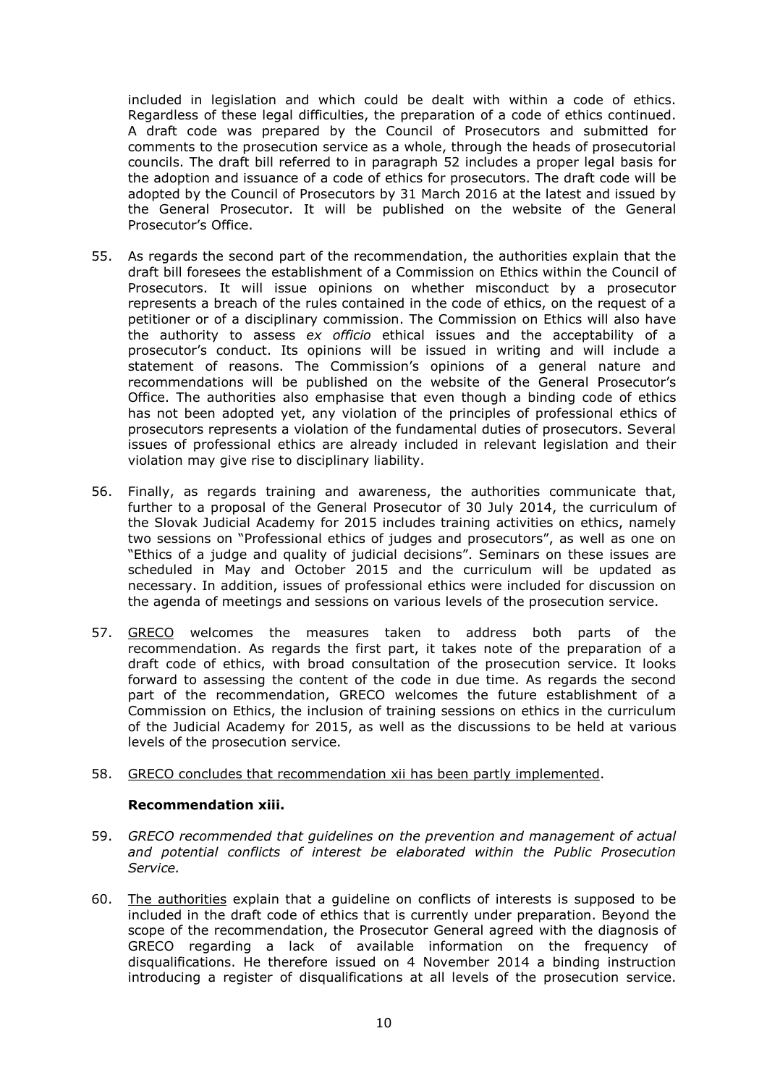included in legislation and which could be dealt with within a code of ethics. Regardless of these legal difficulties, the preparation of a code of ethics continued. A draft code was prepared by the Council of Prosecutors and submitted for comments to the prosecution service as a whole, through the heads of prosecutorial councils. The draft bill referred to in paragraph 52 includes a proper legal basis for the adoption and issuance of a code of ethics for prosecutors. The draft code will be adopted by the Council of Prosecutors by 31 March 2016 at the latest and issued by the General Prosecutor. It will be published on the website of the General Prosecutor's Office.

- 55. As regards the second part of the recommendation, the authorities explain that the draft bill foresees the establishment of a Commission on Ethics within the Council of Prosecutors. It will issue opinions on whether misconduct by a prosecutor represents a breach of the rules contained in the code of ethics, on the request of a petitioner or of a disciplinary commission. The Commission on Ethics will also have the authority to assess *ex officio* ethical issues and the acceptability of a prosecutor's conduct. Its opinions will be issued in writing and will include a statement of reasons. The Commission's opinions of a general nature and recommendations will be published on the website of the General Prosecutor's Office. The authorities also emphasise that even though a binding code of ethics has not been adopted yet, any violation of the principles of professional ethics of prosecutors represents a violation of the fundamental duties of prosecutors. Several issues of professional ethics are already included in relevant legislation and their violation may give rise to disciplinary liability.
- 56. Finally, as regards training and awareness, the authorities communicate that, further to a proposal of the General Prosecutor of 30 July 2014, the curriculum of the Slovak Judicial Academy for 2015 includes training activities on ethics, namely two sessions on "Professional ethics of judges and prosecutors", as well as one on "Ethics of a judge and quality of judicial decisions". Seminars on these issues are scheduled in May and October 2015 and the curriculum will be updated as necessary. In addition, issues of professional ethics were included for discussion on the agenda of meetings and sessions on various levels of the prosecution service.
- 57. GRECO welcomes the measures taken to address both parts of the recommendation. As regards the first part, it takes note of the preparation of a draft code of ethics, with broad consultation of the prosecution service. It looks forward to assessing the content of the code in due time. As regards the second part of the recommendation, GRECO welcomes the future establishment of a Commission on Ethics, the inclusion of training sessions on ethics in the curriculum of the Judicial Academy for 2015, as well as the discussions to be held at various levels of the prosecution service.
- 58. GRECO concludes that recommendation xii has been partly implemented.

#### **Recommendation xiii.**

- 59. *GRECO recommended that guidelines on the prevention and management of actual and potential conflicts of interest be elaborated within the Public Prosecution Service.*
- 60. The authorities explain that a guideline on conflicts of interests is supposed to be included in the draft code of ethics that is currently under preparation. Beyond the scope of the recommendation, the Prosecutor General agreed with the diagnosis of GRECO regarding a lack of available information on the frequency of disqualifications. He therefore issued on 4 November 2014 a binding instruction introducing a register of disqualifications at all levels of the prosecution service.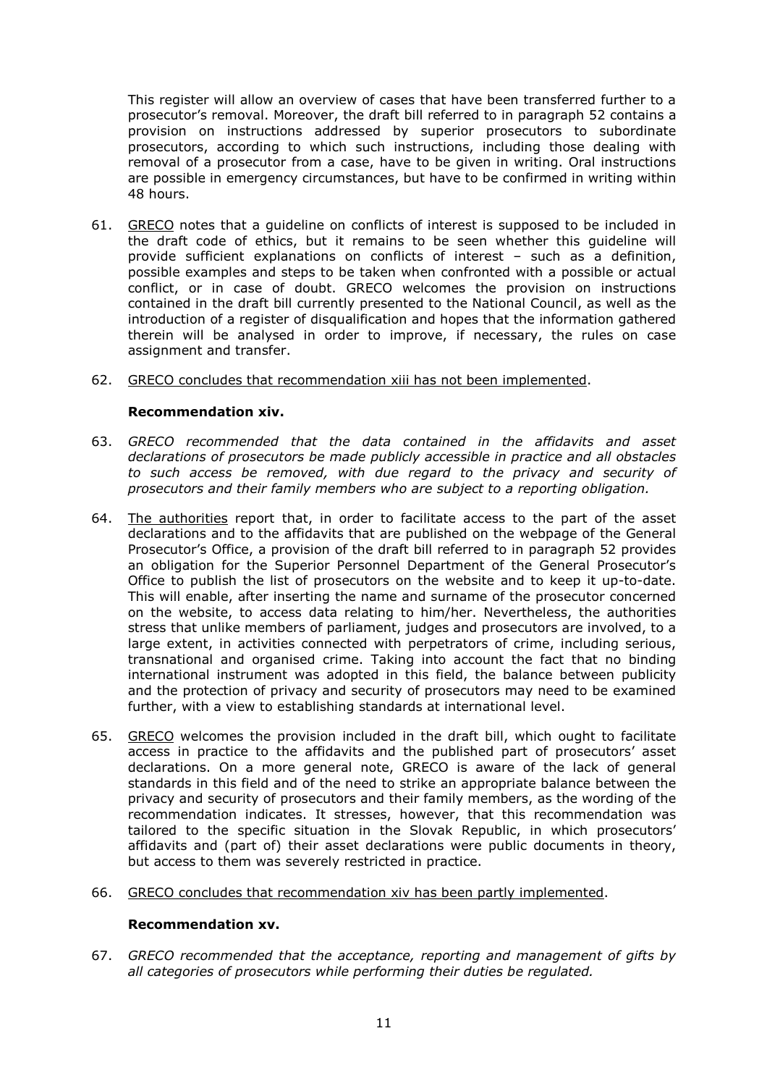This register will allow an overview of cases that have been transferred further to a prosecutor's removal. Moreover, the draft bill referred to in paragraph 52 contains a provision on instructions addressed by superior prosecutors to subordinate prosecutors, according to which such instructions, including those dealing with removal of a prosecutor from a case, have to be given in writing. Oral instructions are possible in emergency circumstances, but have to be confirmed in writing within 48 hours.

- 61. GRECO notes that a guideline on conflicts of interest is supposed to be included in the draft code of ethics, but it remains to be seen whether this guideline will provide sufficient explanations on conflicts of interest – such as a definition, possible examples and steps to be taken when confronted with a possible or actual conflict, or in case of doubt. GRECO welcomes the provision on instructions contained in the draft bill currently presented to the National Council, as well as the introduction of a register of disqualification and hopes that the information gathered therein will be analysed in order to improve, if necessary, the rules on case assignment and transfer.
- 62. GRECO concludes that recommendation xiii has not been implemented.

## **Recommendation xiv.**

- 63. *GRECO recommended that the data contained in the affidavits and asset declarations of prosecutors be made publicly accessible in practice and all obstacles to such access be removed, with due regard to the privacy and security of prosecutors and their family members who are subject to a reporting obligation.*
- 64. The authorities report that, in order to facilitate access to the part of the asset declarations and to the affidavits that are published on the webpage of the General Prosecutor's Office, a provision of the draft bill referred to in paragraph 52 provides an obligation for the Superior Personnel Department of the General Prosecutor's Office to publish the list of prosecutors on the website and to keep it up-to-date. This will enable, after inserting the name and surname of the prosecutor concerned on the website, to access data relating to him/her. Nevertheless, the authorities stress that unlike members of parliament, judges and prosecutors are involved, to a large extent, in activities connected with perpetrators of crime, including serious, transnational and organised crime. Taking into account the fact that no binding international instrument was adopted in this field, the balance between publicity and the protection of privacy and security of prosecutors may need to be examined further, with a view to establishing standards at international level.
- 65. GRECO welcomes the provision included in the draft bill, which ought to facilitate access in practice to the affidavits and the published part of prosecutors' asset declarations. On a more general note, GRECO is aware of the lack of general standards in this field and of the need to strike an appropriate balance between the privacy and security of prosecutors and their family members, as the wording of the recommendation indicates. It stresses, however, that this recommendation was tailored to the specific situation in the Slovak Republic, in which prosecutors' affidavits and (part of) their asset declarations were public documents in theory, but access to them was severely restricted in practice.
- 66. GRECO concludes that recommendation xiv has been partly implemented.

#### **Recommendation xv.**

67. *GRECO recommended that the acceptance, reporting and management of gifts by all categories of prosecutors while performing their duties be regulated.*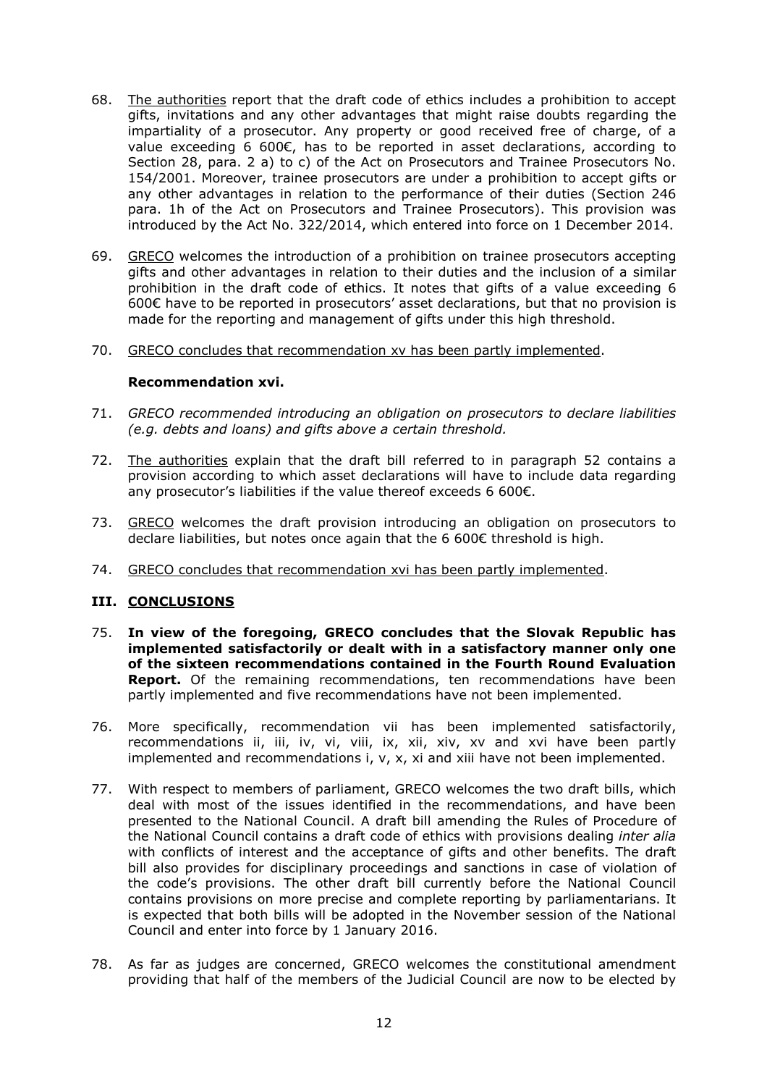- 68. The authorities report that the draft code of ethics includes a prohibition to accept gifts, invitations and any other advantages that might raise doubts regarding the impartiality of a prosecutor. Any property or good received free of charge, of a value exceeding 6 600€, has to be reported in asset declarations, according to Section 28, para. 2 a) to c) of the Act on Prosecutors and Trainee Prosecutors No. 154/2001. Moreover, trainee prosecutors are under a prohibition to accept gifts or any other advantages in relation to the performance of their duties (Section 246 para. 1h of the Act on Prosecutors and Trainee Prosecutors). This provision was introduced by the Act No. 322/2014, which entered into force on 1 December 2014.
- 69. GRECO welcomes the introduction of a prohibition on trainee prosecutors accepting gifts and other advantages in relation to their duties and the inclusion of a similar prohibition in the draft code of ethics. It notes that gifts of a value exceeding 6 600€ have to be reported in prosecutors' asset declarations, but that no provision is made for the reporting and management of gifts under this high threshold.
- 70. GRECO concludes that recommendation xv has been partly implemented.

## **Recommendation xvi.**

- 71. *GRECO recommended introducing an obligation on prosecutors to declare liabilities (e.g. debts and loans) and gifts above a certain threshold.*
- 72. The authorities explain that the draft bill referred to in paragraph 52 contains a provision according to which asset declarations will have to include data regarding any prosecutor's liabilities if the value thereof exceeds 6 600€.
- 73. GRECO welcomes the draft provision introducing an obligation on prosecutors to declare liabilities, but notes once again that the 6 600€ threshold is high.
- 74. GRECO concludes that recommendation xvi has been partly implemented.

## **III. CONCLUSIONS**

- 75. **In view of the foregoing, GRECO concludes that the Slovak Republic has implemented satisfactorily or dealt with in a satisfactory manner only one of the sixteen recommendations contained in the Fourth Round Evaluation Report.** Of the remaining recommendations, ten recommendations have been partly implemented and five recommendations have not been implemented.
- 76. More specifically, recommendation vii has been implemented satisfactorily, recommendations ii, iii, iv, vi, viii, ix, xii, xiv, xv and xvi have been partly implemented and recommendations i, v, x, xi and xiii have not been implemented.
- 77. With respect to members of parliament, GRECO welcomes the two draft bills, which deal with most of the issues identified in the recommendations, and have been presented to the National Council. A draft bill amending the Rules of Procedure of the National Council contains a draft code of ethics with provisions dealing *inter alia*  with conflicts of interest and the acceptance of gifts and other benefits. The draft bill also provides for disciplinary proceedings and sanctions in case of violation of the code's provisions. The other draft bill currently before the National Council contains provisions on more precise and complete reporting by parliamentarians. It is expected that both bills will be adopted in the November session of the National Council and enter into force by 1 January 2016.
- 78. As far as judges are concerned, GRECO welcomes the constitutional amendment providing that half of the members of the Judicial Council are now to be elected by